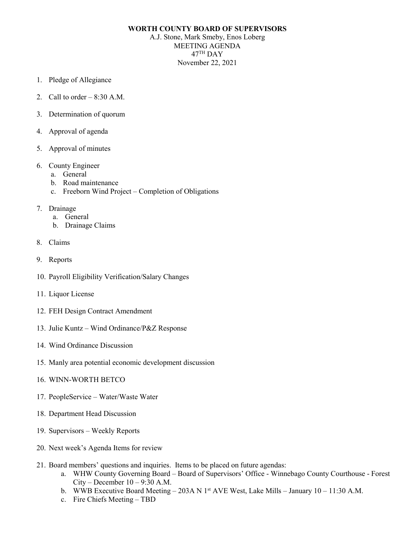## **WORTH COUNTY BOARD OF SUPERVISORS**

A.J. Stone, Mark Smeby, Enos Loberg MEETING AGENDA 47TH DAY November 22, 2021

- 1. Pledge of Allegiance
- 2. Call to order  $-8:30$  A.M.
- 3. Determination of quorum
- 4. Approval of agenda
- 5. Approval of minutes
- 6. County Engineer
	- a. General
	- b. Road maintenance
	- c. Freeborn Wind Project Completion of Obligations
- 7. Drainage
	- a. General
	- b. Drainage Claims
- 8. Claims
- 9. Reports
- 10. Payroll Eligibility Verification/Salary Changes
- 11. Liquor License
- 12. FEH Design Contract Amendment
- 13. Julie Kuntz Wind Ordinance/P&Z Response
- 14. Wind Ordinance Discussion
- 15. Manly area potential economic development discussion
- 16. WINN-WORTH BETCO
- 17. PeopleService Water/Waste Water
- 18. Department Head Discussion
- 19. Supervisors Weekly Reports
- 20. Next week's Agenda Items for review
- 21. Board members' questions and inquiries. Items to be placed on future agendas:
	- a. WHW County Governing Board Board of Supervisors' Office Winnebago County Courthouse Forest  $City - December 10 - 9:30 A.M.$
	- b. WWB Executive Board Meeting 203A N 1<sup>st</sup> AVE West, Lake Mills January 10 11:30 A.M.
	- c. Fire Chiefs Meeting TBD